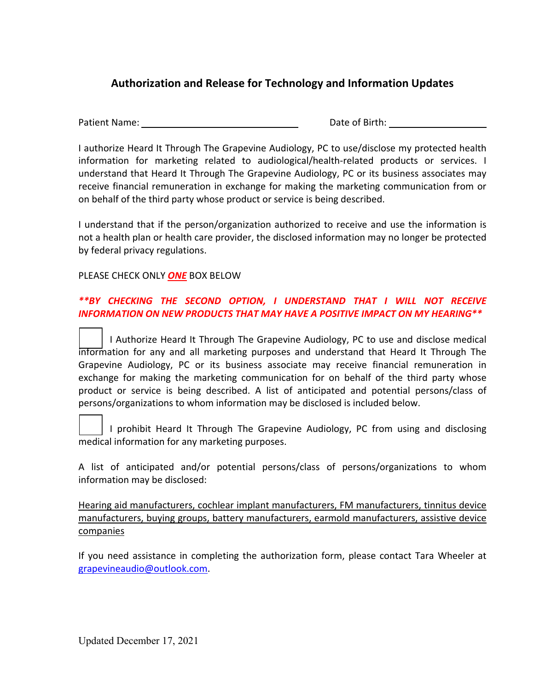## **Authorization and Release for Technology and Information Updates**

Patient Name: Name: Name of Birth: Date of Birth: Date of Birth: Name of Birth: Name of Birth: Name of Birth: Name of Birth: Name of Birth: Name of Birth: Name of Birth: Name of Birth: Name of Birth: Name of Birth: Name of

I authorize Heard It Through The Grapevine Audiology, PC to use/disclose my protected health information for marketing related to audiological/health-related products or services. I understand that Heard It Through The Grapevine Audiology, PC or its business associates may receive financial remuneration in exchange for making the marketing communication from or on behalf of the third party whose product or service is being described.

I understand that if the person/organization authorized to receive and use the information is not a health plan or health care provider, the disclosed information may no longer be protected by federal privacy regulations.

## PLEASE CHECK ONLY *ONE* BOX BELOW

## *\*\*BY CHECKING THE SECOND OPTION, I UNDERSTAND THAT I WILL NOT RECEIVE INFORMATION ON NEW PRODUCTS THAT MAY HAVE A POSITIVE IMPACT ON MY HEARING\*\**

I Authorize Heard It Through The Grapevine Audiology, PC to use and disclose medical information for any and all marketing purposes and understand that Heard It Through The Grapevine Audiology, PC or its business associate may receive financial remuneration in exchange for making the marketing communication for on behalf of the third party whose product or service is being described. A list of anticipated and potential persons/class of persons/organizations to whom information may be disclosed is included below.

I prohibit Heard It Through The Grapevine Audiology, PC from using and disclosing medical information for any marketing purposes.

A list of anticipated and/or potential persons/class of persons/organizations to whom information may be disclosed:

Hearing aid manufacturers, cochlear implant manufacturers, FM manufacturers, tinnitus device manufacturers, buying groups, battery manufacturers, earmold manufacturers, assistive device companies

If you need assistance in completing the authorization form, please contact Tara Wheeler at grapevineaudio@outlook.com.